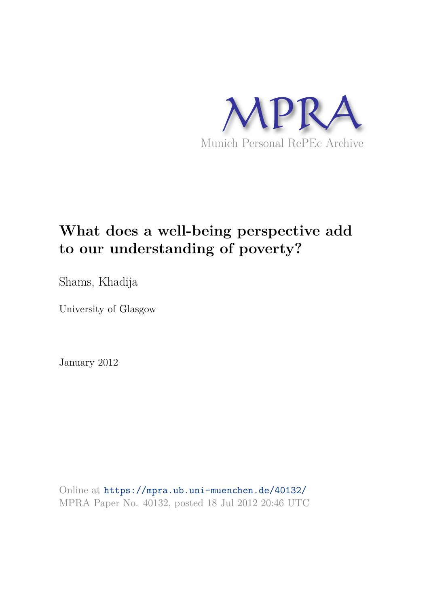

# **What does a well-being perspective add to our understanding of poverty?**

Shams, Khadija

University of Glasgow

January 2012

Online at https://mpra.ub.uni-muenchen.de/40132/ MPRA Paper No. 40132, posted 18 Jul 2012 20:46 UTC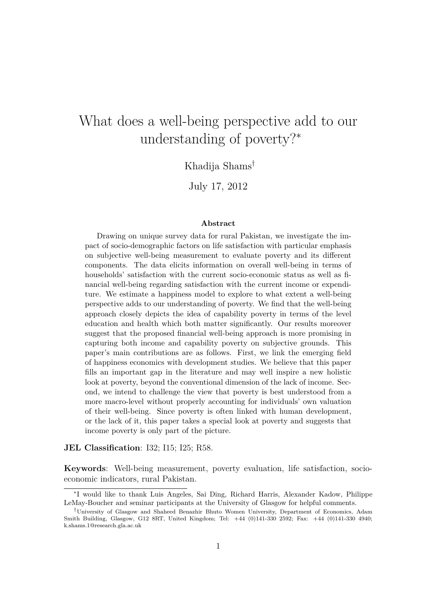# What does a well-being perspective add to our understanding of poverty?<sup>∗</sup>

## Khadija Shams†

July 17, 2012

#### **Abstract**

Drawing on unique survey data for rural Pakistan, we investigate the impact of socio-demographic factors on life satisfaction with particular emphasis on subjective well-being measurement to evaluate poverty and its different components. The data elicits information on overall well-being in terms of households' satisfaction with the current socio-economic status as well as financial well-being regarding satisfaction with the current income or expenditure. We estimate a happiness model to explore to what extent a well-being perspective adds to our understanding of poverty. We find that the well-being approach closely depicts the idea of capability poverty in terms of the level education and health which both matter significantly. Our results moreover suggest that the proposed financial well-being approach is more promising in capturing both income and capability poverty on subjective grounds. This paper's main contributions are as follows. First, we link the emerging field of happiness economics with development studies. We believe that this paper fills an important gap in the literature and may well inspire a new holistic look at poverty, beyond the conventional dimension of the lack of income. Second, we intend to challenge the view that poverty is best understood from a more macro-level without properly accounting for individuals' own valuation of their well-being. Since poverty is often linked with human development, or the lack of it, this paper takes a special look at poverty and suggests that income poverty is only part of the picture.

#### **JEL Classification**: I32; I15; I25; R58.

**Keywords**: Well-being measurement, poverty evaluation, life satisfaction, socioeconomic indicators, rural Pakistan.

<sup>∗</sup> I would like to thank Luis Angeles, Sai Ding, Richard Harris, Alexander Kadow, Philippe LeMay-Boucher and seminar participants at the University of Glasgow for helpful comments.

<sup>†</sup>University of Glasgow and Shaheed Benazhir Bhuto Women University, Department of Economics, Adam Smith Building, Glasgow, G12 8RT, United Kingdom; Tel: +44 (0)141-330 2592; Fax: +44 (0)141-330 4940; k.shams.1@research.gla.ac.uk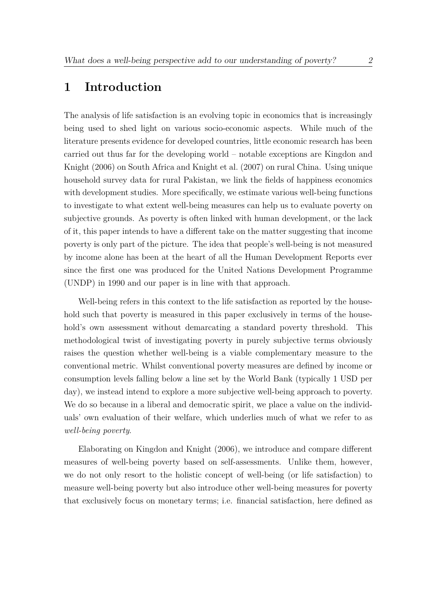## **1 Introduction**

The analysis of life satisfaction is an evolving topic in economics that is increasingly being used to shed light on various socio-economic aspects. While much of the literature presents evidence for developed countries, little economic research has been carried out thus far for the developing world – notable exceptions are Kingdon and Knight (2006) on South Africa and Knight et al. (2007) on rural China. Using unique household survey data for rural Pakistan, we link the fields of happiness economics with development studies. More specifically, we estimate various well-being functions to investigate to what extent well-being measures can help us to evaluate poverty on subjective grounds. As poverty is often linked with human development, or the lack of it, this paper intends to have a different take on the matter suggesting that income poverty is only part of the picture. The idea that people's well-being is not measured by income alone has been at the heart of all the Human Development Reports ever since the first one was produced for the United Nations Development Programme (UNDP) in 1990 and our paper is in line with that approach.

Well-being refers in this context to the life satisfaction as reported by the household such that poverty is measured in this paper exclusively in terms of the household's own assessment without demarcating a standard poverty threshold. This methodological twist of investigating poverty in purely subjective terms obviously raises the question whether well-being is a viable complementary measure to the conventional metric. Whilst conventional poverty measures are defined by income or consumption levels falling below a line set by the World Bank (typically 1 USD per day), we instead intend to explore a more subjective well-being approach to poverty. We do so because in a liberal and democratic spirit, we place a value on the individuals' own evaluation of their welfare, which underlies much of what we refer to as *well-being poverty*.

Elaborating on Kingdon and Knight (2006), we introduce and compare different measures of well-being poverty based on self-assessments. Unlike them, however, we do not only resort to the holistic concept of well-being (or life satisfaction) to measure well-being poverty but also introduce other well-being measures for poverty that exclusively focus on monetary terms; i.e. financial satisfaction, here defined as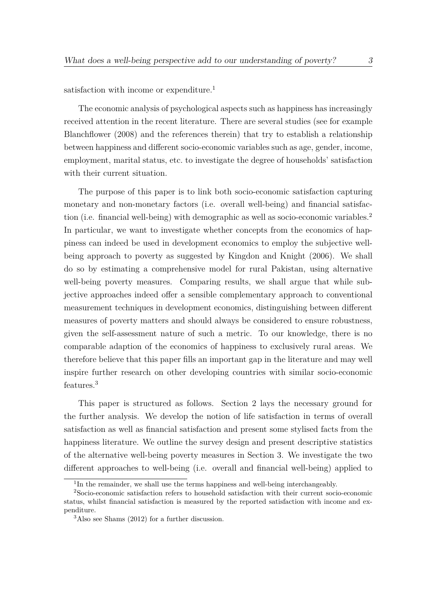satisfaction with income or expenditure.<sup>1</sup>

The economic analysis of psychological aspects such as happiness has increasingly received attention in the recent literature. There are several studies (see for example Blanchflower (2008) and the references therein) that try to establish a relationship between happiness and different socio-economic variables such as age, gender, income, employment, marital status, etc. to investigate the degree of households' satisfaction with their current situation.

The purpose of this paper is to link both socio-economic satisfaction capturing monetary and non-monetary factors (i.e. overall well-being) and financial satisfaction (i.e. financial well-being) with demographic as well as socio-economic variables.<sup>2</sup> In particular, we want to investigate whether concepts from the economics of happiness can indeed be used in development economics to employ the subjective wellbeing approach to poverty as suggested by Kingdon and Knight (2006). We shall do so by estimating a comprehensive model for rural Pakistan, using alternative well-being poverty measures. Comparing results, we shall argue that while subjective approaches indeed offer a sensible complementary approach to conventional measurement techniques in development economics, distinguishing between different measures of poverty matters and should always be considered to ensure robustness, given the self-assessment nature of such a metric. To our knowledge, there is no comparable adaption of the economics of happiness to exclusively rural areas. We therefore believe that this paper fills an important gap in the literature and may well inspire further research on other developing countries with similar socio-economic features.<sup>3</sup>

This paper is structured as follows. Section 2 lays the necessary ground for the further analysis. We develop the notion of life satisfaction in terms of overall satisfaction as well as financial satisfaction and present some stylised facts from the happiness literature. We outline the survey design and present descriptive statistics of the alternative well-being poverty measures in Section 3. We investigate the two different approaches to well-being (i.e. overall and financial well-being) applied to

<sup>&</sup>lt;sup>1</sup>In the remainder, we shall use the terms happiness and well-being interchangeably.

<sup>2</sup>Socio-economic satisfaction refers to household satisfaction with their current socio-economic status, whilst financial satisfaction is measured by the reported satisfaction with income and expenditure.

<sup>3</sup>Also see Shams (2012) for a further discussion.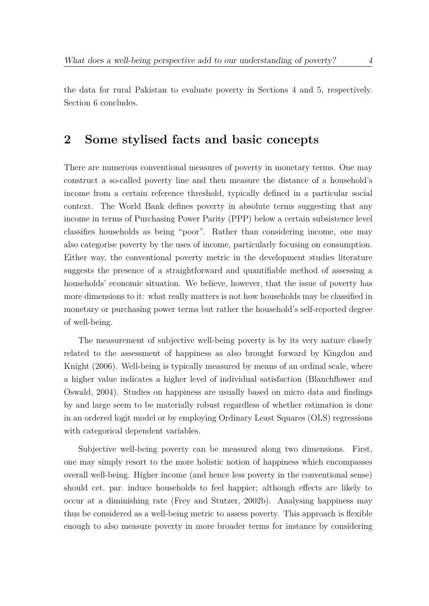the data for rural Pakistan to evaluate poverty in Sections 4 and 5, respectively. Section 6 concludes.

## **2 Some stylised facts and basic concepts**

There are numerous conventional measures of poverty in monetary terms. One may construct a so-called poverty line and then measure the distance of a household's income from a certain reference threshold, typically defined in a particular social context. The World Bank defines poverty in absolute terms suggesting that any income in terms of Purchasing Power Parity (PPP) below a certain subsistence level classifies households as being "poor". Rather than considering income, one may also categorise poverty by the uses of income, particularly focusing on consumption. Either way, the conventional poverty metric in the development studies literature suggests the presence of a straightforward and quantifiable method of assessing a households' economic situation. We believe, however, that the issue of poverty has more dimensions to it: what really matters is not how households may be classified in monetary or purchasing power terms but rather the household's self-reported degree of well-being.

The measurement of subjective well-being poverty is by its very nature closely related to the assessment of happiness as also brought forward by Kingdon and Knight (2006). Well-being is typically measured by means of an ordinal scale, where a higher value indicates a higher level of individual satisfaction (Blanchflower and Oswald, 2004). Studies on happiness are usually based on micro data and findings by and large seem to be materially robust regardless of whether estimation is done in an ordered logit model or by employing Ordinary Least Squares (OLS) regressions with categorical dependent variables.

Subjective well-being poverty can be measured along two dimensions. First, one may simply resort to the more holistic notion of happiness which encompasses overall well-being. Higher income (and hence less poverty in the conventional sense) should cet. par. induce households to feel happier; although effects are likely to occur at a diminishing rate (Frey and Stutzer, 2002b). Analysing happiness may thus be considered as a well-being metric to assess poverty. This approach is flexible enough to also measure poverty in more broader terms for instance by considering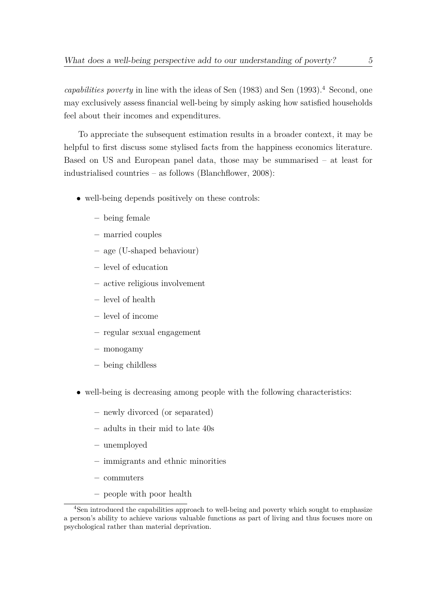*capabilities poverty* in line with the ideas of Sen (1983) and Sen (1993).<sup>4</sup> Second, one may exclusively assess financial well-being by simply asking how satisfied households feel about their incomes and expenditures.

To appreciate the subsequent estimation results in a broader context, it may be helpful to first discuss some stylised facts from the happiness economics literature. Based on US and European panel data, those may be summarised – at least for industrialised countries – as follows (Blanchflower, 2008):

- well-being depends positively on these controls:
	- **–** being female
	- **–** married couples
	- **–** age (U-shaped behaviour)
	- **–** level of education
	- **–** active religious involvement
	- **–** level of health
	- **–** level of income
	- **–** regular sexual engagement
	- **–** monogamy
	- **–** being childless
- well-being is decreasing among people with the following characteristics:
	- **–** newly divorced (or separated)
	- **–** adults in their mid to late 40s
	- **–** unemployed
	- **–** immigrants and ethnic minorities
	- **–** commuters
	- **–** people with poor health

<sup>&</sup>lt;sup>4</sup>Sen introduced the capabilities approach to well-being and poverty which sought to emphasize a person's ability to achieve various valuable functions as part of living and thus focuses more on psychological rather than material deprivation.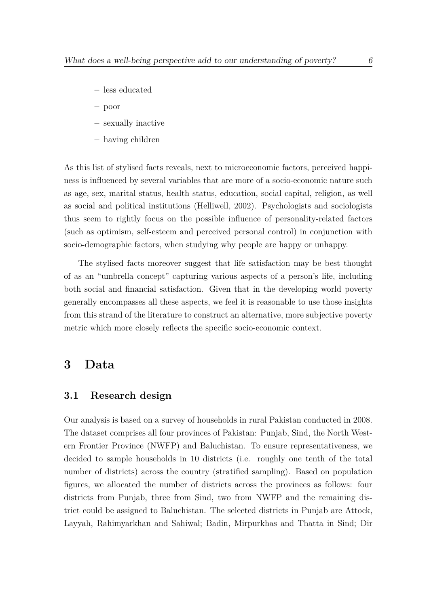- **–** less educated
- **–** poor
- **–** sexually inactive
- **–** having children

As this list of stylised facts reveals, next to microeconomic factors, perceived happiness is influenced by several variables that are more of a socio-economic nature such as age, sex, marital status, health status, education, social capital, religion, as well as social and political institutions (Helliwell, 2002). Psychologists and sociologists thus seem to rightly focus on the possible influence of personality-related factors (such as optimism, self-esteem and perceived personal control) in conjunction with socio-demographic factors, when studying why people are happy or unhappy.

The stylised facts moreover suggest that life satisfaction may be best thought of as an "umbrella concept" capturing various aspects of a person's life, including both social and financial satisfaction. Given that in the developing world poverty generally encompasses all these aspects, we feel it is reasonable to use those insights from this strand of the literature to construct an alternative, more subjective poverty metric which more closely reflects the specific socio-economic context.

## **3 Data**

### **3.1 Research design**

Our analysis is based on a survey of households in rural Pakistan conducted in 2008. The dataset comprises all four provinces of Pakistan: Punjab, Sind, the North Western Frontier Province (NWFP) and Baluchistan. To ensure representativeness, we decided to sample households in 10 districts (i.e. roughly one tenth of the total number of districts) across the country (stratified sampling). Based on population figures, we allocated the number of districts across the provinces as follows: four districts from Punjab, three from Sind, two from NWFP and the remaining district could be assigned to Baluchistan. The selected districts in Punjab are Attock, Layyah, Rahimyarkhan and Sahiwal; Badin, Mirpurkhas and Thatta in Sind; Dir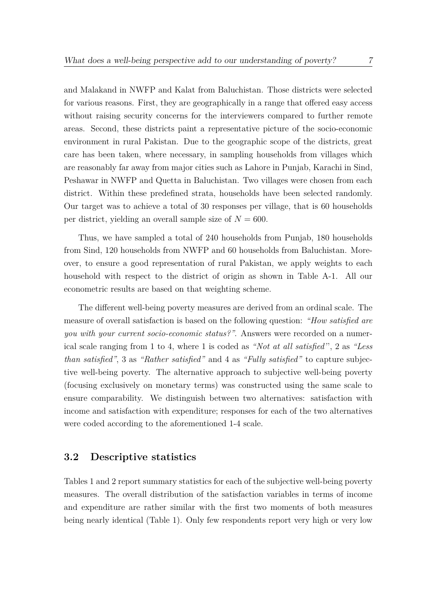and Malakand in NWFP and Kalat from Baluchistan. Those districts were selected for various reasons. First, they are geographically in a range that offered easy access without raising security concerns for the interviewers compared to further remote areas. Second, these districts paint a representative picture of the socio-economic environment in rural Pakistan. Due to the geographic scope of the districts, great care has been taken, where necessary, in sampling households from villages which are reasonably far away from major cities such as Lahore in Punjab, Karachi in Sind, Peshawar in NWFP and Quetta in Baluchistan. Two villages were chosen from each district. Within these predefined strata, households have been selected randomly. Our target was to achieve a total of 30 responses per village, that is 60 households per district, yielding an overall sample size of  $N = 600$ .

Thus, we have sampled a total of 240 households from Punjab, 180 households from Sind, 120 households from NWFP and 60 households from Baluchistan. Moreover, to ensure a good representation of rural Pakistan, we apply weights to each household with respect to the district of origin as shown in Table A-1. All our econometric results are based on that weighting scheme.

The different well-being poverty measures are derived from an ordinal scale. The measure of overall satisfaction is based on the following question: *"How satisfied are you with your current socio-economic status?"*. Answers were recorded on a numerical scale ranging from 1 to 4, where 1 is coded as *"Not at all satisfied'*', 2 as *"Less than satisfied"*, 3 as *"Rather satisfied"* and 4 as *"Fully satisfied"* to capture subjective well-being poverty. The alternative approach to subjective well-being poverty (focusing exclusively on monetary terms) was constructed using the same scale to ensure comparability. We distinguish between two alternatives: satisfaction with income and satisfaction with expenditure; responses for each of the two alternatives were coded according to the aforementioned 1-4 scale.

#### **3.2 Descriptive statistics**

Tables 1 and 2 report summary statistics for each of the subjective well-being poverty measures. The overall distribution of the satisfaction variables in terms of income and expenditure are rather similar with the first two moments of both measures being nearly identical (Table 1). Only few respondents report very high or very low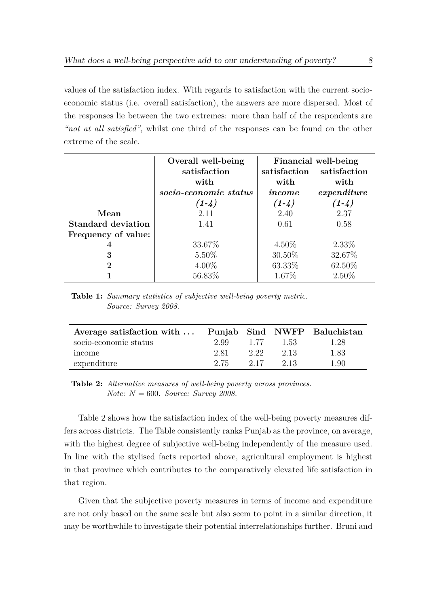values of the satisfaction index. With regards to satisfaction with the current socioeconomic status (i.e. overall satisfaction), the answers are more dispersed. Most of the responses lie between the two extremes: more than half of the respondents are *"not at all satisfied"*, whilst one third of the responses can be found on the other extreme of the scale.

|                     | Overall well-being    | Financial well-being |              |  |
|---------------------|-----------------------|----------------------|--------------|--|
|                     | satisfaction          | satisfaction         | satisfaction |  |
|                     | with                  | with                 | with         |  |
|                     | socio-economic status | income               | expenditure  |  |
|                     | $(1-4)$               | $(1-4)$              | $(1-4)$      |  |
| Mean                | 2.11                  | 2.40                 | 2.37         |  |
| Standard deviation  | 1.41                  | 0.61                 | 0.58         |  |
| Frequency of value: |                       |                      |              |  |
| 4                   | 33.67%                | $4.50\%$             | $2.33\%$     |  |
| 3                   | $5.50\%$              | $30.50\%$            | 32.67%       |  |
| $\bf{2}$            | $4.00\%$              | 63.33%               | 62.50\%      |  |
|                     | 56.83%                | 1.67\%               | $2.50\%$     |  |

**Table 1:** *Summary statistics of subjective well-being poverty metric. Source: Survey 2008.*

| Average satisfaction with $\dots$ |      |      |      | Punjab Sind NWFP Baluchistan |
|-----------------------------------|------|------|------|------------------------------|
| socio-economic status             | 2.99 | 1 77 | 1.53 | 1.28                         |
| income                            | 2.81 | 2.22 | 2.13 | 1.83                         |
| expenditure                       | 2.75 | 2.17 | 2.13 | 1.90                         |

**Table 2:** *Alternative measures of well-being poverty across provinces. Note: N* = 600*. Source: Survey 2008.*

Table 2 shows how the satisfaction index of the well-being poverty measures differs across districts. The Table consistently ranks Punjab as the province, on average, with the highest degree of subjective well-being independently of the measure used. In line with the stylised facts reported above, agricultural employment is highest in that province which contributes to the comparatively elevated life satisfaction in that region.

Given that the subjective poverty measures in terms of income and expenditure are not only based on the same scale but also seem to point in a similar direction, it may be worthwhile to investigate their potential interrelationships further. Bruni and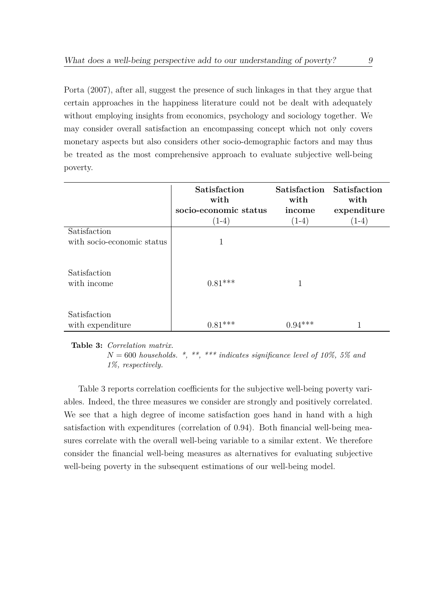Porta (2007), after all, suggest the presence of such linkages in that they argue that certain approaches in the happiness literature could not be dealt with adequately without employing insights from economics, psychology and sociology together. We may consider overall satisfaction an encompassing concept which not only covers monetary aspects but also considers other socio-demographic factors and may thus be treated as the most comprehensive approach to evaluate subjective well-being poverty.

|                             | Satisfaction<br>with  | Satisfaction Satisfaction<br>with | with        |
|-----------------------------|-----------------------|-----------------------------------|-------------|
|                             | socio-economic status | income                            | expenditure |
|                             | $(1-4)$               | $(1-4)$                           | $(1-4)$     |
| Satisfaction                |                       |                                   |             |
| with socio-economic status  |                       |                                   |             |
| Satisfaction<br>with income | $0.81***$             |                                   |             |
| Satisfaction                |                       |                                   |             |
| with expenditure            | $0.81***$             | $0.94***$                         |             |

**Table 3:** *Correlation matrix.*

 $N = 600$  *households.* \*, \*\*, \*\*\* *indicates significance level of 10%, 5% and 1%, respectively.*

Table 3 reports correlation coefficients for the subjective well-being poverty variables. Indeed, the three measures we consider are strongly and positively correlated. We see that a high degree of income satisfaction goes hand in hand with a high satisfaction with expenditures (correlation of 0.94). Both financial well-being measures correlate with the overall well-being variable to a similar extent. We therefore consider the financial well-being measures as alternatives for evaluating subjective well-being poverty in the subsequent estimations of our well-being model.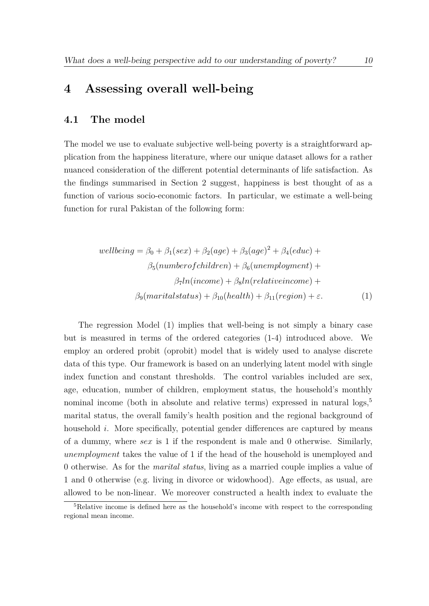## **4 Assessing overall well-being**

#### **4.1 The model**

The model we use to evaluate subjective well-being poverty is a straightforward application from the happiness literature, where our unique dataset allows for a rather nuanced consideration of the different potential determinants of life satisfaction. As the findings summarised in Section 2 suggest, happiness is best thought of as a function of various socio-economic factors. In particular, we estimate a well-being function for rural Pakistan of the following form:

$$
wellbeing = \beta_0 + \beta_1(sex) + \beta_2(age) + \beta_3(age)^2 + \beta_4(educ) +
$$
  

$$
\beta_5(numberofchildren) + \beta_6(unemployedment) +
$$
  

$$
\beta_7 ln(income) + \beta_8 ln(relativeincome) +
$$
  

$$
\beta_9(marital status) + \beta_{10}(health) + \beta_{11}(region) + \varepsilon.
$$
 (1)

The regression Model (1) implies that well-being is not simply a binary case but is measured in terms of the ordered categories (1-4) introduced above. We employ an ordered probit (oprobit) model that is widely used to analyse discrete data of this type. Our framework is based on an underlying latent model with single index function and constant thresholds. The control variables included are sex, age, education, number of children, employment status, the household's monthly nominal income (both in absolute and relative terms) expressed in natural logs,<sup>5</sup> marital status, the overall family's health position and the regional background of household *i*. More specifically, potential gender differences are captured by means of a dummy, where *sex* is 1 if the respondent is male and 0 otherwise. Similarly, *unemployment* takes the value of 1 if the head of the household is unemployed and 0 otherwise. As for the *marital status*, living as a married couple implies a value of 1 and 0 otherwise (e.g. living in divorce or widowhood). Age effects, as usual, are allowed to be non-linear. We moreover constructed a health index to evaluate the

<sup>5</sup>Relative income is defined here as the household's income with respect to the corresponding regional mean income.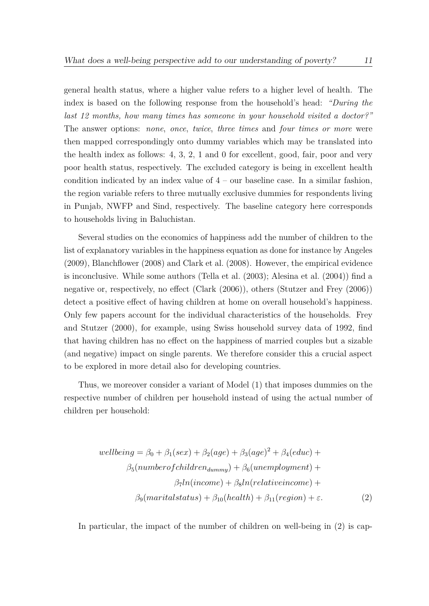general health status, where a higher value refers to a higher level of health. The index is based on the following response from the household's head: *"During the last 12 months, how many times has someone in your household visited a doctor?"* The answer options: *none*, *once*, *twice*, *three times* and *four times or more* were then mapped correspondingly onto dummy variables which may be translated into the health index as follows: 4, 3, 2, 1 and 0 for excellent, good, fair, poor and very poor health status, respectively. The excluded category is being in excellent health condition indicated by an index value of  $4$  – our baseline case. In a similar fashion, the region variable refers to three mutually exclusive dummies for respondents living in Punjab, NWFP and Sind, respectively. The baseline category here corresponds to households living in Baluchistan.

Several studies on the economics of happiness add the number of children to the list of explanatory variables in the happiness equation as done for instance by Angeles (2009), Blanchflower (2008) and Clark et al. (2008). However, the empirical evidence is inconclusive. While some authors (Tella et al. (2003); Alesina et al. (2004)) find a negative or, respectively, no effect (Clark (2006)), others (Stutzer and Frey (2006)) detect a positive effect of having children at home on overall household's happiness. Only few papers account for the individual characteristics of the households. Frey and Stutzer (2000), for example, using Swiss household survey data of 1992, find that having children has no effect on the happiness of married couples but a sizable (and negative) impact on single parents. We therefore consider this a crucial aspect to be explored in more detail also for developing countries.

Thus, we moreover consider a variant of Model (1) that imposes dummies on the respective number of children per household instead of using the actual number of children per household:

$$
wellbeing = \beta_0 + \beta_1(sex) + \beta_2(age) + \beta_3(age)^2 + \beta_4(educ) +
$$
  

$$
\beta_5(numberofchildren_{dummy}) + \beta_6(unemployed) +
$$
  

$$
\beta_7 ln(income) + \beta_8 ln(relativeincome) +
$$
  

$$
\beta_9(marital status) + \beta_{10}(health) + \beta_{11}(region) + \varepsilon.
$$
 (2)

In particular, the impact of the number of children on well-being in (2) is cap-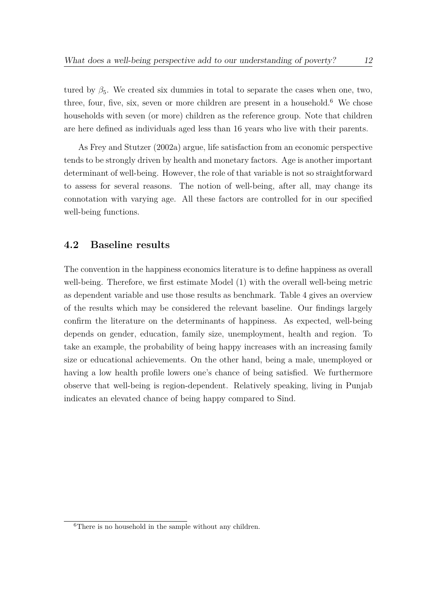tured by  $\beta_5$ . We created six dummies in total to separate the cases when one, two, three, four, five, six, seven or more children are present in a household.<sup>6</sup> We chose households with seven (or more) children as the reference group. Note that children are here defined as individuals aged less than 16 years who live with their parents.

As Frey and Stutzer (2002a) argue, life satisfaction from an economic perspective tends to be strongly driven by health and monetary factors. Age is another important determinant of well-being. However, the role of that variable is not so straightforward to assess for several reasons. The notion of well-being, after all, may change its connotation with varying age. All these factors are controlled for in our specified well-being functions.

### **4.2 Baseline results**

The convention in the happiness economics literature is to define happiness as overall well-being. Therefore, we first estimate Model (1) with the overall well-being metric as dependent variable and use those results as benchmark. Table 4 gives an overview of the results which may be considered the relevant baseline. Our findings largely confirm the literature on the determinants of happiness. As expected, well-being depends on gender, education, family size, unemployment, health and region. To take an example, the probability of being happy increases with an increasing family size or educational achievements. On the other hand, being a male, unemployed or having a low health profile lowers one's chance of being satisfied. We furthermore observe that well-being is region-dependent. Relatively speaking, living in Punjab indicates an elevated chance of being happy compared to Sind.

<sup>&</sup>lt;sup>6</sup>There is no household in the sample without any children.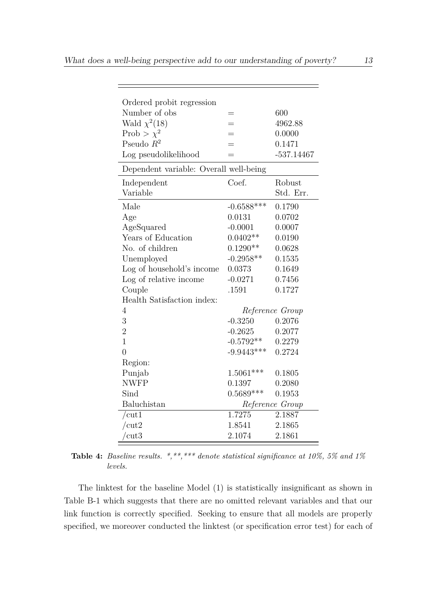| Ordered probit regression              |              |                 |
|----------------------------------------|--------------|-----------------|
| Number of obs                          | =            | 600             |
| Wald $\chi^2(18)$                      |              | 4962.88         |
| Prob > $\chi^2$                        |              | 0.0000          |
| Pseudo $R^2$                           |              | 0.1471          |
| Log pseudolikelihood                   | —            | $-537.14467$    |
| Dependent variable: Overall well-being |              |                 |
| Independent                            | Coef.        | Robust          |
| Variable                               |              | Std. Err.       |
| Male                                   | $-0.6588***$ | 0.1790          |
| Age                                    | 0.0131       | 0.0702          |
| AgeSquared                             | $-0.0001$    | 0.0007          |
| Years of Education                     | $0.0402**$   | 0.0190          |
| No. of children                        | $0.1290**$   | 0.0628          |
| Unemployed                             | $-0.2958**$  | 0.1535          |
| Log of household's income              | 0.0373       | 0.1649          |
| Log of relative income                 | $-0.0271$    | 0.7456          |
| Couple                                 | .1591        | 0.1727          |
| Health Satisfaction index:             |              |                 |
| 4                                      |              | Reference Group |
| 3                                      | $-0.3250$    | 0.2076          |
| $\overline{2}$                         | $-0.2625$    | 0.2077          |
| $\overline{1}$                         | $-0.5792**$  | 0.2279          |
| $\overline{0}$                         | $-9.9443***$ | 0.2724          |
| Region:                                |              |                 |
| Punjab                                 | $1.5061***$  | 0.1805          |
| <b>NWFP</b>                            | 0.1397       | 0.2080          |
| Sind                                   | $0.5689***$  | 0.1953          |
| Baluchistan                            |              | Reference Group |
| /cut1                                  | 1.7275       | 2.1887          |
| /cut2                                  | 1.8541       | 2.1865          |
| $\rm /cut3$                            | 2.1074       | 2.1861          |

**Table 4:** *Baseline results. \*,\*\*,\*\*\* denote statistical significance at 10%, 5% and 1% levels.*

The linktest for the baseline Model (1) is statistically insignificant as shown in Table B-1 which suggests that there are no omitted relevant variables and that our link function is correctly specified. Seeking to ensure that all models are properly specified, we moreover conducted the linktest (or specification error test) for each of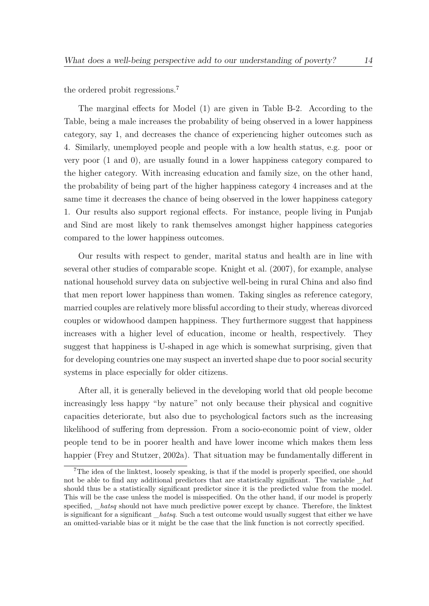the ordered probit regressions.<sup>7</sup>

The marginal effects for Model (1) are given in Table B-2. According to the Table, being a male increases the probability of being observed in a lower happiness category, say 1, and decreases the chance of experiencing higher outcomes such as 4. Similarly, unemployed people and people with a low health status, e.g. poor or very poor (1 and 0), are usually found in a lower happiness category compared to the higher category. With increasing education and family size, on the other hand, the probability of being part of the higher happiness category 4 increases and at the same time it decreases the chance of being observed in the lower happiness category 1. Our results also support regional effects. For instance, people living in Punjab and Sind are most likely to rank themselves amongst higher happiness categories compared to the lower happiness outcomes.

Our results with respect to gender, marital status and health are in line with several other studies of comparable scope. Knight et al. (2007), for example, analyse national household survey data on subjective well-being in rural China and also find that men report lower happiness than women. Taking singles as reference category, married couples are relatively more blissful according to their study, whereas divorced couples or widowhood dampen happiness. They furthermore suggest that happiness increases with a higher level of education, income or health, respectively. They suggest that happiness is U-shaped in age which is somewhat surprising, given that for developing countries one may suspect an inverted shape due to poor social security systems in place especially for older citizens.

After all, it is generally believed in the developing world that old people become increasingly less happy "by nature" not only because their physical and cognitive capacities deteriorate, but also due to psychological factors such as the increasing likelihood of suffering from depression. From a socio-economic point of view, older people tend to be in poorer health and have lower income which makes them less happier (Frey and Stutzer, 2002a). That situation may be fundamentally different in

<sup>&</sup>lt;sup>7</sup>The idea of the linktest, loosely speaking, is that if the model is properly specified, one should not be able to find any additional predictors that are statistically significant. The variable *hat* should thus be a statistically significant predictor since it is the predicted value from the model. This will be the case unless the model is misspecified. On the other hand, if our model is properly specified, *\_hatsq* should not have much predictive power except by chance. Therefore, the linktest is significant for a significant *\_hatsq*. Such a test outcome would usually suggest that either we have an omitted-variable bias or it might be the case that the link function is not correctly specified.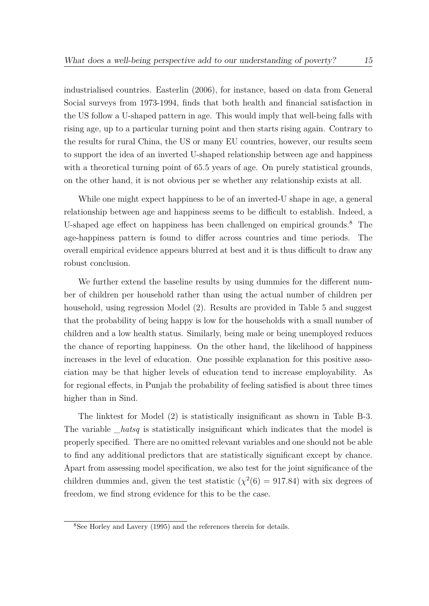industrialised countries. Easterlin (2006), for instance, based on data from General Social surveys from 1973-1994, finds that both health and financial satisfaction in the US follow a U-shaped pattern in age. This would imply that well-being falls with rising age, up to a particular turning point and then starts rising again. Contrary to the results for rural China, the US or many EU countries, however, our results seem to support the idea of an inverted U-shaped relationship between age and happiness with a theoretical turning point of 65.5 years of age. On purely statistical grounds, on the other hand, it is not obvious per se whether any relationship exists at all.

While one might expect happiness to be of an inverted-U shape in age, a general relationship between age and happiness seems to be difficult to establish. Indeed, a U-shaped age effect on happiness has been challenged on empirical grounds.<sup>8</sup> The age-happiness pattern is found to differ across countries and time periods. The overall empirical evidence appears blurred at best and it is thus difficult to draw any robust conclusion.

We further extend the baseline results by using dummies for the different number of children per household rather than using the actual number of children per household, using regression Model (2). Results are provided in Table 5 and suggest that the probability of being happy is low for the households with a small number of children and a low health status. Similarly, being male or being unemployed reduces the chance of reporting happiness. On the other hand, the likelihood of happiness increases in the level of education. One possible explanation for this positive association may be that higher levels of education tend to increase employability. As for regional effects, in Punjab the probability of feeling satisfied is about three times higher than in Sind.

The linktest for Model (2) is statistically insignificant as shown in Table B-3. The variable *hatsq* is statistically insignificant which indicates that the model is properly specified. There are no omitted relevant variables and one should not be able to find any additional predictors that are statistically significant except by chance. Apart from assessing model specification, we also test for the joint significance of the children dummies and, given the test statistic  $(\chi^2(6) = 917.84)$  with six degrees of freedom, we find strong evidence for this to be the case.

<sup>8</sup>See Horley and Lavery (1995) and the references therein for details.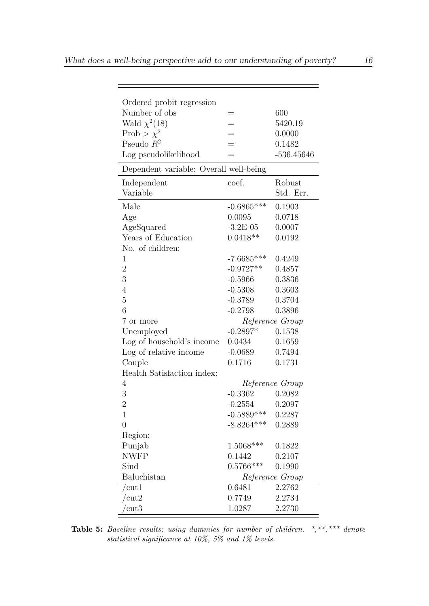| Ordered probit regression<br>Number of obs |               | 600             |
|--------------------------------------------|---------------|-----------------|
| Wald $\chi^2(18)$                          | =<br>$=$      | 5420.19         |
| Prob > $\chi^2$                            | $=$           | 0.0000          |
| Pseudo $R^2$                               |               | 0.1482          |
| Log pseudolikelihood                       | $=$           | $-536.45646$    |
|                                            |               |                 |
| Dependent variable: Overall well-being     |               |                 |
| Independent                                | coef.         | Robust          |
| Variable                                   |               | Std. Err.       |
| Male                                       | $-0.6865***$  | 0.1903          |
| Age                                        | 0.0095        | 0.0718          |
| AgeSquared                                 | $-3.2E - 05$  | 0.0007          |
| Years of Education                         | $0.0418**$    | 0.0192          |
| No. of children:                           |               |                 |
| $\mathbf{1}$                               | $-7.6685***$  | 0.4249          |
| $\overline{2}$                             | $-0.9727**$   | 0.4857          |
| 3                                          | $-0.5966$     | 0.3836          |
| $\overline{4}$                             | $-0.5308$     | 0.3603          |
| $\overline{5}$                             | $-0.3789$     | 0.3704          |
| 6                                          | $-0.2798$     | 0.3896          |
| 7 or more                                  |               | Reference Group |
| Unemployed                                 | $-0.2897*$    | 0.1538          |
| Log of household's income                  | 0.0434        | 0.1659          |
| Log of relative income                     | $-0.0689$     | 0.7494          |
| Couple                                     | 0.1716        | 0.1731          |
| Health Satisfaction index:                 |               |                 |
| 4                                          |               | Reference Group |
| 3                                          | $-0.3362$     | 0.2082          |
| $\overline{2}$                             | $-0.2554$     | 0.2097          |
| 1                                          | $-0.5889$ *** | 0.2287          |
| $\overline{0}$                             | $-8.8264***$  | 0.2889          |
| Region:                                    |               |                 |
| Punjab                                     | 1.5068***     | 0.1822          |
| <b>NWFP</b>                                | 0.1442        | 0.2107          |
| Sind                                       | $0.5766***$   | 0.1990          |
| Baluchistan                                |               | Reference Group |
| $/{\rm cut}1$                              | 0.6481        | 2.2762          |
| $\rm /cut2$                                | 0.7749        | 2.2734          |
| cut <sub>3</sub>                           | 1.0287        | 2.2730          |
|                                            |               |                 |

**Table 5:** *Baseline results; using dummies for number of children. \*,\*\*,\*\*\* denote statistical significance at 10%, 5% and 1% levels.*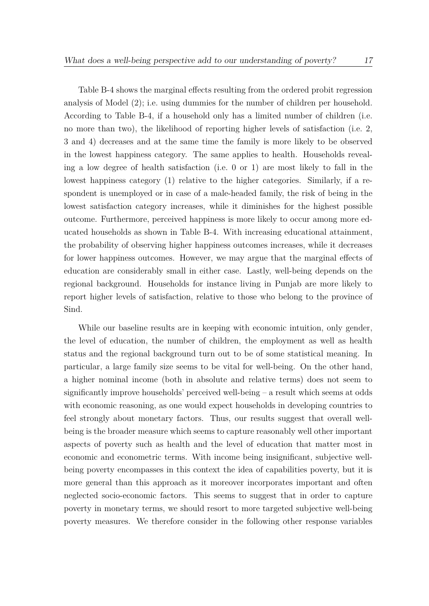Table B-4 shows the marginal effects resulting from the ordered probit regression analysis of Model (2); i.e. using dummies for the number of children per household. According to Table B-4, if a household only has a limited number of children (i.e. no more than two), the likelihood of reporting higher levels of satisfaction (i.e. 2, 3 and 4) decreases and at the same time the family is more likely to be observed in the lowest happiness category. The same applies to health. Households revealing a low degree of health satisfaction (i.e. 0 or 1) are most likely to fall in the lowest happiness category (1) relative to the higher categories. Similarly, if a respondent is unemployed or in case of a male-headed family, the risk of being in the lowest satisfaction category increases, while it diminishes for the highest possible outcome. Furthermore, perceived happiness is more likely to occur among more educated households as shown in Table B-4. With increasing educational attainment, the probability of observing higher happiness outcomes increases, while it decreases for lower happiness outcomes. However, we may argue that the marginal effects of education are considerably small in either case. Lastly, well-being depends on the regional background. Households for instance living in Punjab are more likely to report higher levels of satisfaction, relative to those who belong to the province of Sind.

While our baseline results are in keeping with economic intuition, only gender, the level of education, the number of children, the employment as well as health status and the regional background turn out to be of some statistical meaning. In particular, a large family size seems to be vital for well-being. On the other hand, a higher nominal income (both in absolute and relative terms) does not seem to significantly improve households' perceived well-being – a result which seems at odds with economic reasoning, as one would expect households in developing countries to feel strongly about monetary factors. Thus, our results suggest that overall wellbeing is the broader measure which seems to capture reasonably well other important aspects of poverty such as health and the level of education that matter most in economic and econometric terms. With income being insignificant, subjective wellbeing poverty encompasses in this context the idea of capabilities poverty, but it is more general than this approach as it moreover incorporates important and often neglected socio-economic factors. This seems to suggest that in order to capture poverty in monetary terms, we should resort to more targeted subjective well-being poverty measures. We therefore consider in the following other response variables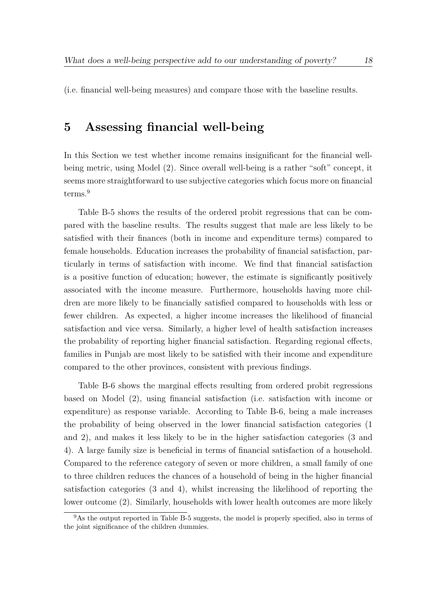(i.e. financial well-being measures) and compare those with the baseline results.

## **5 Assessing financial well-being**

In this Section we test whether income remains insignificant for the financial wellbeing metric, using Model (2). Since overall well-being is a rather "soft" concept, it seems more straightforward to use subjective categories which focus more on financial terms.<sup>9</sup>

Table B-5 shows the results of the ordered probit regressions that can be compared with the baseline results. The results suggest that male are less likely to be satisfied with their finances (both in income and expenditure terms) compared to female households. Education increases the probability of financial satisfaction, particularly in terms of satisfaction with income. We find that financial satisfaction is a positive function of education; however, the estimate is significantly positively associated with the income measure. Furthermore, households having more children are more likely to be financially satisfied compared to households with less or fewer children. As expected, a higher income increases the likelihood of financial satisfaction and vice versa. Similarly, a higher level of health satisfaction increases the probability of reporting higher financial satisfaction. Regarding regional effects, families in Punjab are most likely to be satisfied with their income and expenditure compared to the other provinces, consistent with previous findings.

Table B-6 shows the marginal effects resulting from ordered probit regressions based on Model (2), using financial satisfaction (i.e. satisfaction with income or expenditure) as response variable. According to Table B-6, being a male increases the probability of being observed in the lower financial satisfaction categories (1 and 2), and makes it less likely to be in the higher satisfaction categories (3 and 4). A large family size is beneficial in terms of financial satisfaction of a household. Compared to the reference category of seven or more children, a small family of one to three children reduces the chances of a household of being in the higher financial satisfaction categories (3 and 4), whilst increasing the likelihood of reporting the lower outcome (2). Similarly, households with lower health outcomes are more likely

 $9As$  the output reported in Table B-5 suggests, the model is properly specified, also in terms of the joint significance of the children dummies.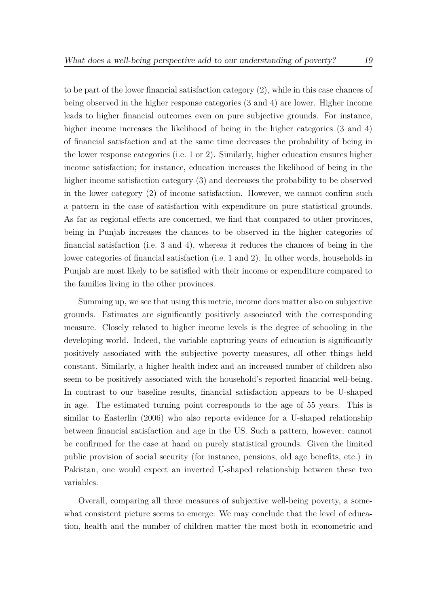to be part of the lower financial satisfaction category (2), while in this case chances of being observed in the higher response categories (3 and 4) are lower. Higher income leads to higher financial outcomes even on pure subjective grounds. For instance, higher income increases the likelihood of being in the higher categories (3 and 4) of financial satisfaction and at the same time decreases the probability of being in the lower response categories (i.e. 1 or 2). Similarly, higher education ensures higher income satisfaction; for instance, education increases the likelihood of being in the higher income satisfaction category (3) and decreases the probability to be observed in the lower category (2) of income satisfaction. However, we cannot confirm such a pattern in the case of satisfaction with expenditure on pure statistical grounds. As far as regional effects are concerned, we find that compared to other provinces, being in Punjab increases the chances to be observed in the higher categories of financial satisfaction (i.e. 3 and 4), whereas it reduces the chances of being in the lower categories of financial satisfaction (i.e. 1 and 2). In other words, households in Punjab are most likely to be satisfied with their income or expenditure compared to the families living in the other provinces.

Summing up, we see that using this metric, income does matter also on subjective grounds. Estimates are significantly positively associated with the corresponding measure. Closely related to higher income levels is the degree of schooling in the developing world. Indeed, the variable capturing years of education is significantly positively associated with the subjective poverty measures, all other things held constant. Similarly, a higher health index and an increased number of children also seem to be positively associated with the household's reported financial well-being. In contrast to our baseline results, financial satisfaction appears to be U-shaped in age. The estimated turning point corresponds to the age of 55 years. This is similar to Easterlin (2006) who also reports evidence for a U-shaped relationship between financial satisfaction and age in the US. Such a pattern, however, cannot be confirmed for the case at hand on purely statistical grounds. Given the limited public provision of social security (for instance, pensions, old age benefits, etc.) in Pakistan, one would expect an inverted U-shaped relationship between these two variables.

Overall, comparing all three measures of subjective well-being poverty, a somewhat consistent picture seems to emerge: We may conclude that the level of education, health and the number of children matter the most both in econometric and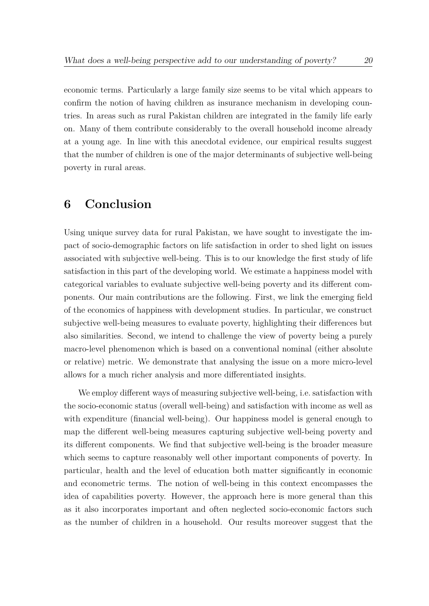economic terms. Particularly a large family size seems to be vital which appears to confirm the notion of having children as insurance mechanism in developing countries. In areas such as rural Pakistan children are integrated in the family life early on. Many of them contribute considerably to the overall household income already at a young age. In line with this anecdotal evidence, our empirical results suggest that the number of children is one of the major determinants of subjective well-being poverty in rural areas.

## **6 Conclusion**

Using unique survey data for rural Pakistan, we have sought to investigate the impact of socio-demographic factors on life satisfaction in order to shed light on issues associated with subjective well-being. This is to our knowledge the first study of life satisfaction in this part of the developing world. We estimate a happiness model with categorical variables to evaluate subjective well-being poverty and its different components. Our main contributions are the following. First, we link the emerging field of the economics of happiness with development studies. In particular, we construct subjective well-being measures to evaluate poverty, highlighting their differences but also similarities. Second, we intend to challenge the view of poverty being a purely macro-level phenomenon which is based on a conventional nominal (either absolute or relative) metric. We demonstrate that analysing the issue on a more micro-level allows for a much richer analysis and more differentiated insights.

We employ different ways of measuring subjective well-being, i.e. satisfaction with the socio-economic status (overall well-being) and satisfaction with income as well as with expenditure (financial well-being). Our happiness model is general enough to map the different well-being measures capturing subjective well-being poverty and its different components. We find that subjective well-being is the broader measure which seems to capture reasonably well other important components of poverty. In particular, health and the level of education both matter significantly in economic and econometric terms. The notion of well-being in this context encompasses the idea of capabilities poverty. However, the approach here is more general than this as it also incorporates important and often neglected socio-economic factors such as the number of children in a household. Our results moreover suggest that the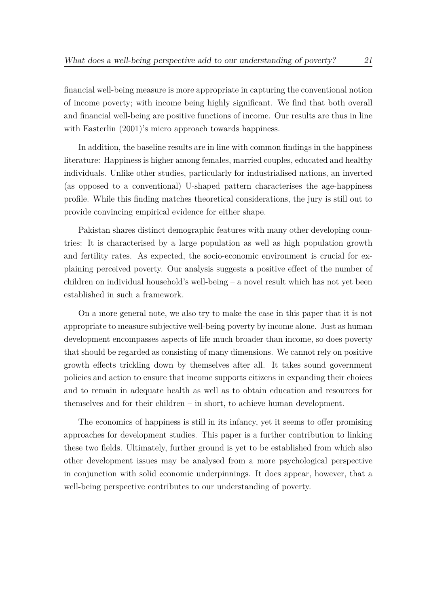financial well-being measure is more appropriate in capturing the conventional notion of income poverty; with income being highly significant. We find that both overall and financial well-being are positive functions of income. Our results are thus in line with Easterlin  $(2001)$ 's micro approach towards happiness.

In addition, the baseline results are in line with common findings in the happiness literature: Happiness is higher among females, married couples, educated and healthy individuals. Unlike other studies, particularly for industrialised nations, an inverted (as opposed to a conventional) U-shaped pattern characterises the age-happiness profile. While this finding matches theoretical considerations, the jury is still out to provide convincing empirical evidence for either shape.

Pakistan shares distinct demographic features with many other developing countries: It is characterised by a large population as well as high population growth and fertility rates. As expected, the socio-economic environment is crucial for explaining perceived poverty. Our analysis suggests a positive effect of the number of children on individual household's well-being – a novel result which has not yet been established in such a framework.

On a more general note, we also try to make the case in this paper that it is not appropriate to measure subjective well-being poverty by income alone. Just as human development encompasses aspects of life much broader than income, so does poverty that should be regarded as consisting of many dimensions. We cannot rely on positive growth effects trickling down by themselves after all. It takes sound government policies and action to ensure that income supports citizens in expanding their choices and to remain in adequate health as well as to obtain education and resources for themselves and for their children – in short, to achieve human development.

The economics of happiness is still in its infancy, yet it seems to offer promising approaches for development studies. This paper is a further contribution to linking these two fields. Ultimately, further ground is yet to be established from which also other development issues may be analysed from a more psychological perspective in conjunction with solid economic underpinnings. It does appear, however, that a well-being perspective contributes to our understanding of poverty.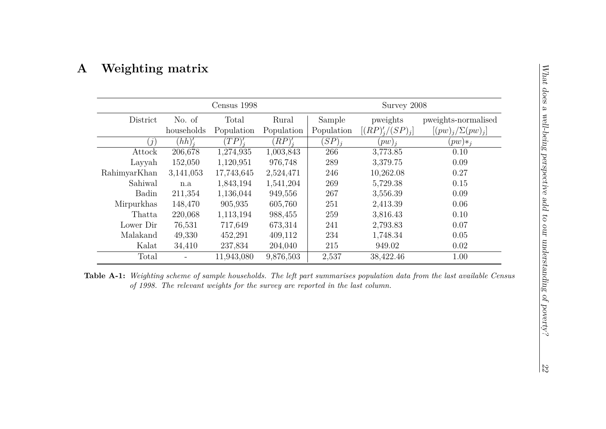# **A Weighting matrix**

|              |            | Census 1998 | Survey 2008 |            |                    |                         |
|--------------|------------|-------------|-------------|------------|--------------------|-------------------------|
| District     | No. of     | Total       | Rural       | Sample     | pweights           | pweights-normalised     |
|              | households | Population  | Population  | Population | $[(RP)'_i/(SP)_i]$ | $[(pw)_j/\Sigma(pw)_j]$ |
| (j)          | $(hh)'_i$  | $(TP)'_i$   | $(RP)'_i$   | $(SP)_i$   | $(pw)_i$           | $(pw) *_{i}$            |
| Attock       | 206,678    | 1,274,935   | 1,003,843   | 266        | 3,773.85           | 0.10                    |
| Layyah       | 152,050    | 1,120,951   | 976,748     | 289        | 3,379.75           | 0.09                    |
| RahimyarKhan | 3,141,053  | 17,743,645  | 2,524,471   | 246        | 10,262.08          | 0.27                    |
| Sahiwal      | n.a        | 1,843,194   | 1,541,204   | 269        | 5,729.38           | 0.15                    |
| Badin        | 211,354    | 1,136,044   | 949,556     | 267        | 3,556.39           | 0.09                    |
| Mirpurkhas   | 148,470    | 905,935     | 605,760     | 251        | 2,413.39           | 0.06                    |
| Thatta       | 220,068    | 1,113,194   | 988,455     | 259        | 3,816.43           | 0.10                    |
| Lower Dir    | 76,531     | 717,649     | 673,314     | 241        | 2,793.83           | 0.07                    |
| Malakand     | 49,330     | 452,291     | 409,112     | 234        | 1,748.34           | 0.05                    |
| Kalat        | 34,410     | 237,834     | 204,040     | 215        | 949.02             | 0.02                    |
| Total        |            | 11,943,080  | 9,876,503   | 2,537      | 38,422.46          | 1.00                    |

**Table A-1:** *Weighting scheme of sample households. The left part summarises population data from the last available Census of 1998. The relevant weights for the survey are reported in the last column.*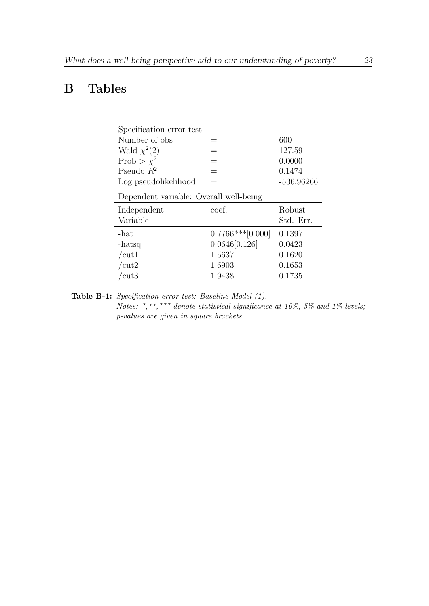# **B Tables**

| Specification error test               |                    |              |
|----------------------------------------|--------------------|--------------|
| Number of obs                          |                    | 600          |
| Wald $\chi^2(2)$                       | =                  | 127.59       |
| Prob > $\chi^2$                        |                    | 0.0000       |
| Pseudo $R^2$                           | $=$                | 0.1474       |
| Log pseudolikelihood                   |                    | $-536.96266$ |
| Dependent variable: Overall well-being |                    |              |
| Independent                            | coef.              | Robust       |
| Variable                               |                    | Std. Err.    |
| $-hat$                                 | $0.7766***[0.000]$ | 0.1397       |
| -hatsq                                 | 0.0646[0.126]      | 0.0423       |
| /cut1                                  | 1.5637             | 0.1620       |
| /cut2                                  | 1.6903             | 0.1653       |
| $\overline{\text{cut3}}$               | 1.9438             | 0.1735       |

**Table B-1:** *Specification error test: Baseline Model (1).*

*Notes: \*,\*\*,\*\*\* denote statistical significance at 10%, 5% and 1% levels; p-values are given in square brackets.*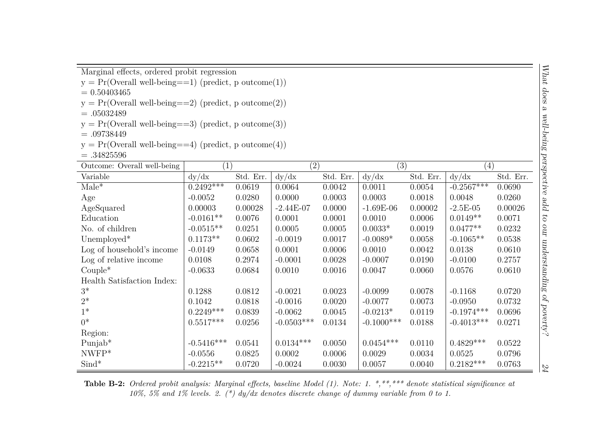Marginal effects, ordered probit regression

$$
y = Pr(Overall\ well\ -being == 1)\ (predict,\ p\ outcome(1))
$$

 $= 0.50403465$ 

- $y = Pr(Overall well-being==2) (predict, p outcome(2))$
- $=.05032489$

$$
y = Pr(Overall well-being == 3) (predict, p outcome(3))
$$

- $=.09738449$
- $y = Pr(Overall well-being==4) (predict, p outcome(4))$
- $=.34825596$

| Outcome: Overall well-being | (1)          |           | $\left( 2\right)$ |           | (3)           |           | $\left( 4\right)$ |           |
|-----------------------------|--------------|-----------|-------------------|-----------|---------------|-----------|-------------------|-----------|
| Variable                    | dy/dx        | Std. Err. | dy/dx             | Std. Err. | dy/dx         | Std. Err. | dy/dx             | Std. Err. |
| $Male^*$                    | $0.2492***$  | 0.0619    | 0.0064            | 0.0042    | 0.0011        | 0.0054    | $-0.2567***$      | 0.0690    |
| Age                         | $-0.0052$    | 0.0280    | 0.0000            | 0.0003    | 0.0003        | 0.0018    | 0.0048            | 0.0260    |
| AgeSquared                  | 0.00003      | 0.00028   | $-2.44E-07$       | 0.0000    | $-1.69E-06$   | 0.00002   | $-2.5E-05$        | 0.00026   |
| Education                   | $-0.0161**$  | 0.0076    | 0.0001            | 0.0001    | 0.0010        | 0.0006    | $0.0149**$        | 0.0071    |
| No. of children             | $-0.0515**$  | 0.0251    | 0.0005            | 0.0005    | $0.0033*$     | 0.0019    | $0.0477**$        | 0.0232    |
| Unemployed*                 | $0.1173**$   | 0.0602    | $-0.0019$         | 0.0017    | $-0.0089*$    | 0.0058    | $-0.1065**$       | 0.0538    |
| Log of household's income   | $-0.0149$    | 0.0658    | 0.0001            | 0.0006    | 0.0010        | 0.0042    | 0.0138            | 0.0610    |
| Log of relative income      | 0.0108       | 0.2974    | $-0.0001$         | 0.0028    | $-0.0007$     | 0.0190    | $-0.0100$         | 0.2757    |
| $Couple^*$                  | $-0.0633$    | 0.0684    | 0.0010            | 0.0016    | 0.0047        | 0.0060    | 0.0576            | 0.0610    |
| Health Satisfaction Index:  |              |           |                   |           |               |           |                   |           |
| $3^*$                       | 0.1288       | 0.0812    | $-0.0021$         | 0.0023    | $-0.0099$     | 0.0078    | $-0.1168$         | 0.0720    |
| $2^*$                       | 0.1042       | 0.0818    | $-0.0016$         | 0.0020    | $-0.0077$     | 0.0073    | $-0.0950$         | 0.0732    |
| $1*$                        | $0.2249***$  | 0.0839    | $-0.0062$         | 0.0045    | $-0.0213*$    | 0.0119    | $-0.1974***$      | 0.0696    |
| $0^*$                       | $0.5517***$  | 0.0256    | $-0.0503***$      | 0.0134    | $-0.1000$ *** | 0.0188    | $-0.4013***$      | 0.0271    |
| Region:                     |              |           |                   |           |               |           |                   |           |
| Punjab*                     | $-0.5416***$ | 0.0541    | $0.0134***$       | 0.0050    | $0.0454***$   | 0.0110    | $0.4829***$       | 0.0522    |
| $NWFP*$                     | $-0.0556$    | 0.0825    | 0.0002            | 0.0006    | 0.0029        | 0.0034    | 0.0525            | 0.0796    |
| $\text{Sind}^*$             | $-0.2215**$  | 0.0720    | $-0.0024$         | 0.0030    | 0.0057        | 0.0040    | $0.2182***$       | 0.0763    |

**Table B-2:** *Ordered probit analysis: Marginal effects, baseline Model (1). Note: 1. \*,\*\*,\*\*\* denote statistical significance at 10%, 5% and 1% levels. 2. (\*) dy/dx denotes discrete change of dummy variable from 0 to 1.*

24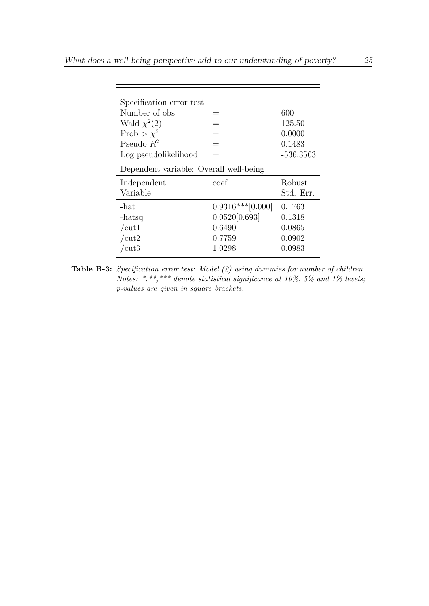| Specification error test               |                    |             |
|----------------------------------------|--------------------|-------------|
| Number of obs                          |                    | 600         |
| Wald $\chi^2(2)$                       |                    | 125.50      |
| Prob > $\chi^2$                        |                    | 0.0000      |
| Pseudo $R^2$                           | $=$                | 0.1483      |
| Log pseudolikelihood                   |                    | $-536.3563$ |
| Dependent variable: Overall well-being |                    |             |
| Independent                            | coef.              | Robust      |
|                                        |                    |             |
| Variable                               |                    | Std. Err.   |
| $-hat$                                 | $0.9316***[0.000]$ | 0.1763      |
| -hatsq                                 | 0.0520[0.693]      | 0.1318      |
| /cut1                                  | 0.6490             | 0.0865      |
| /cut2                                  | 0.7759             | 0.0902      |

**Table B-3:** *Specification error test: Model (2) using dummies for number of children. Notes: \*,\*\*,\*\*\* denote statistical significance at 10%, 5% and 1% levels; p-values are given in square brackets.*

İ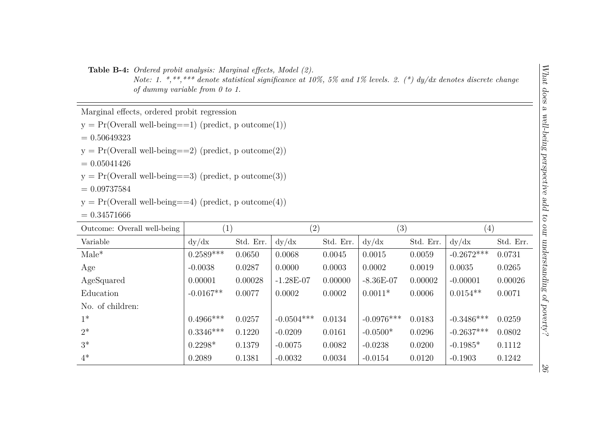**Table B-4:** *Ordered probit analysis: Marginal effects, Model (2).*

*Note: 1. \*,\*\*,\*\*\* denote statistical significance at 10%, 5% and 1% levels. 2. (\*) dy/dx denotes discrete change of dummy variable from 0 to 1.*

Marginal effects, ordered probit regression

 $y = Pr(Overall well-being==1) (predict, p outcome(1))$ 

 $= 0.50649323$ 

 $y = Pr(Overal well-being == 2) (predict, p outcome(2))$ 

 $= 0.05041426$ 

 $y = Pr(Overall well-being==3) (predict, p outcome(3))$ 

 $= 0.09737584$ 

$$
y = Pr(Overal well-being == 4)
$$
 (predict, p outcome(4))

 $= 0.34571666$ 

| Outcome: Overall well-being | $\left(1\right)$ |           | $\left( 2\right)$ |           | (3)          |           | $\left( 4\right)$ |           |
|-----------------------------|------------------|-----------|-------------------|-----------|--------------|-----------|-------------------|-----------|
| Variable                    | dy/dx            | Std. Err. | dy/dx             | Std. Err. | dy/dx        | Std. Err. | dy/dx             | Std. Err. |
| $Male^*$                    | $0.2589***$      | 0.0650    | 0.0068            | 0.0045    | 0.0015       | 0.0059    | $-0.2672***$      | 0.0731    |
| Age                         | $-0.0038$        | 0.0287    | 0.0000            | 0.0003    | 0.0002       | 0.0019    | 0.0035            | 0.0265    |
| AgeSquared                  | 0.00001          | 0.00028   | $-1.28E-07$       | 0.00000   | $-8.36E-07$  | 0.00002   | $-0.00001$        | 0.00026   |
| Education                   | $-0.0167**$      | 0.0077    | 0.0002            | 0.0002    | $0.0011*$    | 0.0006    | $0.0154**$        | 0.0071    |
| No. of children:            |                  |           |                   |           |              |           |                   |           |
| $1^*$                       | $0.4966***$      | 0.0257    | $-0.0504***$      | 0.0134    | $-0.0976***$ | 0.0183    | $-0.3486***$      | 0.0259    |
| $2^*$                       | $0.3346***$      | 0.1220    | $-0.0209$         | 0.0161    | $-0.0500*$   | 0.0296    | $-0.2637***$      | 0.0802    |
| $3^*$                       | $0.2298*$        | 0.1379    | $-0.0075$         | 0.0082    | $-0.0238$    | 0.0200    | $-0.1985*$        | 0.1112    |
| $4^*$                       | 0.2089           | 0.1381    | $-0.0032$         | 0.0034    | $-0.0154$    | 0.0120    | $-0.1903$         | 0.1242    |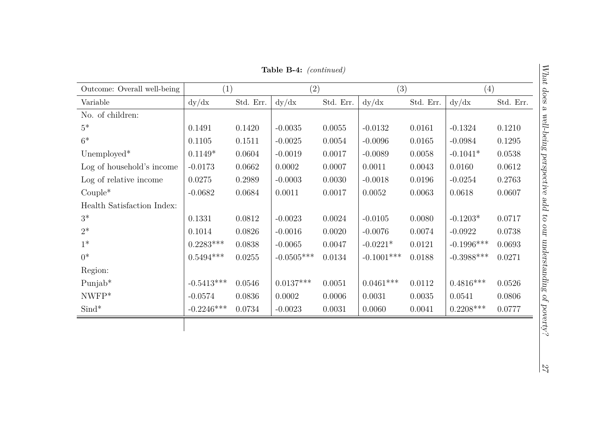**Table B-4:** *(continued)*

| Outcome: Overall well-being | (1)          |           | (2)          |           | (3)           |           | (4)           |           |
|-----------------------------|--------------|-----------|--------------|-----------|---------------|-----------|---------------|-----------|
| Variable                    | dy/dx        | Std. Err. | dy/dx        | Std. Err. | dy/dx         | Std. Err. | dy/dx         | Std. Err. |
| No. of children:            |              |           |              |           |               |           |               |           |
| $5*$                        | 0.1491       | 0.1420    | $-0.0035$    | 0.0055    | $-0.0132$     | 0.0161    | $-0.1324$     | 0.1210    |
| $6*$                        | 0.1105       | 0.1511    | $-0.0025$    | 0.0054    | $-0.0096$     | 0.0165    | $-0.0984$     | 0.1295    |
| Unemployed*                 | $0.1149*$    | 0.0604    | $-0.0019$    | 0.0017    | $-0.0089$     | 0.0058    | $-0.1041*$    | 0.0538    |
| Log of household's income   | $-0.0173$    | 0.0662    | 0.0002       | 0.0007    | 0.0011        | 0.0043    | 0.0160        | 0.0612    |
| Log of relative income      | 0.0275       | 0.2989    | $-0.0003$    | 0.0030    | $-0.0018$     | 0.0196    | $-0.0254$     | 0.2763    |
| $Couple^*$                  | $-0.0682$    | 0.0684    | 0.0011       | 0.0017    | 0.0052        | 0.0063    | 0.0618        | 0.0607    |
| Health Satisfaction Index:  |              |           |              |           |               |           |               |           |
| $3^*$                       | 0.1331       | 0.0812    | $-0.0023$    | 0.0024    | $-0.0105$     | 0.0080    | $-0.1203*$    | 0.0717    |
| $2^*$                       | 0.1014       | 0.0826    | $-0.0016$    | 0.0020    | $-0.0076$     | 0.0074    | $-0.0922$     | 0.0738    |
| $1*$                        | $0.2283***$  | 0.0838    | $-0.0065$    | 0.0047    | $-0.0221*$    | 0.0121    | $-0.1996***$  | 0.0693    |
| $0^*$                       | $0.5494***$  | 0.0255    | $-0.0505***$ | 0.0134    | $-0.1001$ *** | 0.0188    | $-0.3988$ *** | 0.0271    |
| Region:                     |              |           |              |           |               |           |               |           |
| Punjab*                     | $-0.5413***$ | 0.0546    | $0.0137***$  | 0.0051    | $0.0461***$   | 0.0112    | $0.4816***$   | 0.0526    |
| $NWFP*$                     | $-0.0574$    | 0.0836    | 0.0002       | 0.0006    | 0.0031        | 0.0035    | 0.0541        | 0.0806    |
| $\text{Sind}^*$             | $-0.2246***$ | 0.0734    | $-0.0023$    | 0.0031    | 0.0060        | 0.0041    | $0.2208***$   | 0.0777    |
|                             |              |           |              |           |               |           |               |           |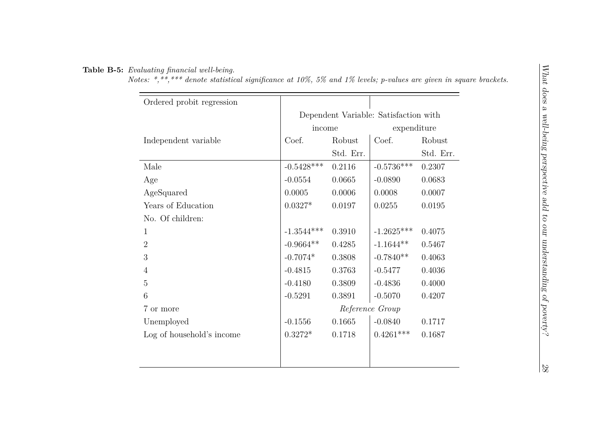#### **Table B-5:** *Evaluating financial well-being.*

*Notes: \*,\*\*,\*\*\* denote statistical significance at 10%, 5% and 1% levels; p-values are given in square brackets.*

| Ordered probit regression |                                       |           |                 |           |  |
|---------------------------|---------------------------------------|-----------|-----------------|-----------|--|
|                           | Dependent Variable: Satisfaction with |           |                 |           |  |
|                           | income                                |           | expenditure     |           |  |
| Independent variable      | Coef.                                 | Robust    | Coef.           | Robust    |  |
|                           |                                       | Std. Err. |                 | Std. Err. |  |
| Male                      | $-0.5428***$                          | 0.2116    | $-0.5736***$    | 0.2307    |  |
| Age                       | $-0.0554$                             | 0.0665    | $-0.0890$       | 0.0683    |  |
| AgeSquared                | 0.0005                                | 0.0006    | 0.0008          | 0.0007    |  |
| Years of Education        | $0.0327*$                             | 0.0197    | 0.0255          | 0.0195    |  |
| No. Of children:          |                                       |           |                 |           |  |
| 1                         | $-1.3544***$                          | 0.3910    | $-1.2625***$    | 0.4075    |  |
| $\overline{2}$            | $-0.9664**$                           | 0.4285    | $-1.1644**$     | 0.5467    |  |
| 3                         | $-0.7074*$                            | 0.3808    | $-0.7840**$     | 0.4063    |  |
| 4                         | $-0.4815$                             | 0.3763    | $-0.5477$       | 0.4036    |  |
| 5                         | $-0.4180$                             | 0.3809    | $-0.4836$       | 0.4000    |  |
| 6                         | $-0.5291$                             | 0.3891    | $-0.5070$       | 0.4207    |  |
| 7 or more                 |                                       |           | Reference Group |           |  |
| Unemployed                | $-0.1556$                             | 0.1665    | $-0.0840$       | 0.1717    |  |
| Log of household's income | $0.3272*$                             | 0.1718    | $0.4261***$     | 0.1687    |  |
|                           |                                       |           |                 |           |  |
|                           |                                       |           |                 |           |  |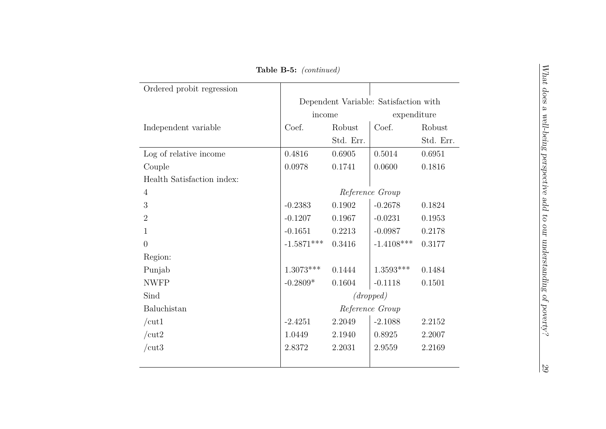**Table B-5:** *(continued)*

| Ordered probit regression  |              |                                       |                 |           |  |  |  |
|----------------------------|--------------|---------------------------------------|-----------------|-----------|--|--|--|
|                            |              | Dependent Variable: Satisfaction with |                 |           |  |  |  |
|                            |              | expenditure<br>income                 |                 |           |  |  |  |
| Independent variable       | Coef.        | Robust                                | Coef.           | Robust    |  |  |  |
|                            |              | Std. Err.                             |                 | Std. Err. |  |  |  |
| Log of relative income     | 0.4816       | 0.6905                                | 0.5014          | 0.6951    |  |  |  |
| Couple                     | 0.0978       | 0.1741                                | 0.0600          | 0.1816    |  |  |  |
| Health Satisfaction index: |              |                                       |                 |           |  |  |  |
| $\overline{4}$             |              | Reference Group                       |                 |           |  |  |  |
| 3                          | $-0.2383$    | 0.1902                                | $-0.2678$       | 0.1824    |  |  |  |
| $\overline{2}$             | $-0.1207$    | 0.1967                                | $-0.0231$       | 0.1953    |  |  |  |
| 1                          | $-0.1651$    | 0.2213                                | $-0.0987$       | 0.2178    |  |  |  |
| $\overline{0}$             | $-1.5871***$ | 0.3416                                | $-1.4108***$    | 0.3177    |  |  |  |
| Region:                    |              |                                       |                 |           |  |  |  |
| Punjab                     | $1.3073***$  | 0.1444                                | $1.3593***$     | 0.1484    |  |  |  |
| <b>NWFP</b>                | $-0.2809*$   | 0.1604                                | $-0.1118$       | 0.1501    |  |  |  |
| Sind                       |              |                                       | (dropped)       |           |  |  |  |
| Baluchistan                |              |                                       | Reference Group |           |  |  |  |
| /cut1                      | $-2.4251$    | 2.2049                                | $-2.1088$       | 2.2152    |  |  |  |
| /cut2                      | 1.0449       | 2.1940                                | 0.8925          | 2.2007    |  |  |  |
| /cut3                      | 2.8372       | 2.2031                                | 2.9559          | 2.2169    |  |  |  |

29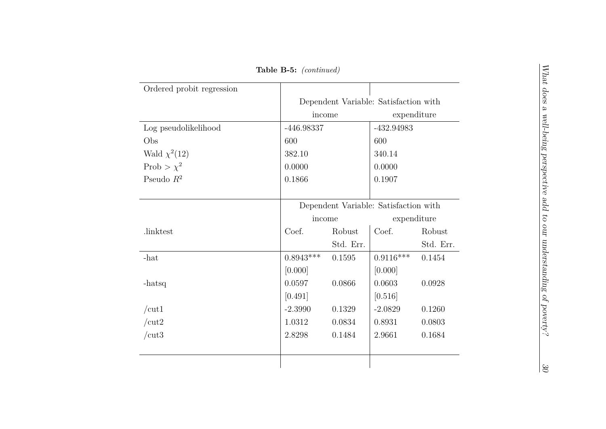**Table B-5:** *(continued)*

| Ordered probit regression |                                       |           |                                       |           |  |  |
|---------------------------|---------------------------------------|-----------|---------------------------------------|-----------|--|--|
|                           | Dependent Variable: Satisfaction with |           |                                       |           |  |  |
|                           | income                                |           | expenditure                           |           |  |  |
| Log pseudolikelihood      | -446.98337                            |           | -432.94983                            |           |  |  |
| Obs                       | 600                                   |           | 600                                   |           |  |  |
| Wald $\chi^2(12)$         | 382.10                                |           | 340.14                                |           |  |  |
| Prob > $\chi^2$           | 0.0000                                |           | 0.0000                                |           |  |  |
| Pseudo $R^2$              | 0.1866                                |           | 0.1907                                |           |  |  |
|                           |                                       |           |                                       |           |  |  |
|                           |                                       |           | Dependent Variable: Satisfaction with |           |  |  |
|                           | income                                |           | expenditure                           |           |  |  |
| .linktest                 | Coef.                                 | Robust    | Coef.                                 | Robust    |  |  |
|                           |                                       | Std. Err. |                                       | Std. Err. |  |  |
| $-hat$                    | $0.8943***$                           | 0.1595    | $0.9116***$                           | 0.1454    |  |  |
|                           | [0.000]                               |           | [0.000]                               |           |  |  |
| -hatsq                    | 0.0597                                | 0.0866    | 0.0603                                | 0.0928    |  |  |
|                           | [0.491]                               |           | [0.516]                               |           |  |  |
| /cut1                     | $-2.3990$                             | 0.1329    | $-2.0829$                             | 0.1260    |  |  |
| /cut2                     | 1.0312                                | 0.0834    | 0.8931                                | 0.0803    |  |  |
| /cut3                     | 2.8298                                | 0.1484    | 2.9661                                | 0.1684    |  |  |
|                           |                                       |           |                                       |           |  |  |
|                           |                                       |           |                                       |           |  |  |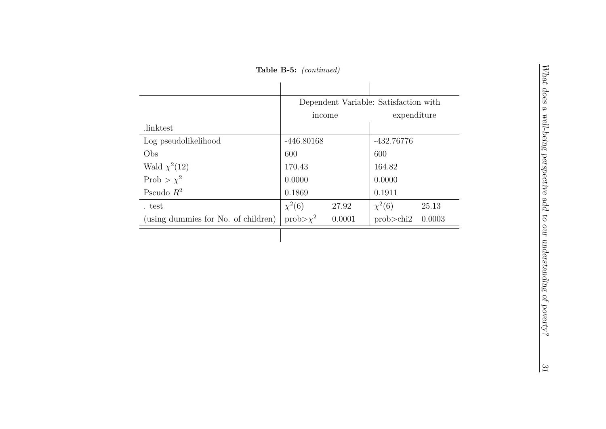**Table B-5:** *(continued)*

|                                     | Dependent Variable: Satisfaction with |        |              |        |  |
|-------------------------------------|---------------------------------------|--------|--------------|--------|--|
|                                     | income                                |        | expenditure  |        |  |
| .linktest                           |                                       |        |              |        |  |
| Log pseudolikelihood                | $-446.80168$                          |        | $-432.76776$ |        |  |
| Obs                                 | 600                                   |        | 600          |        |  |
| Wald $\chi^2(12)$                   | 170.43                                |        | 164.82       |        |  |
| Prob > $\chi^2$                     | 0.0000                                |        | 0.0000       |        |  |
| Pseudo $R^2$                        | 0.1869                                |        | 0.1911       |        |  |
| test                                | $\chi^2(6)$                           | 27.92  | $\chi^2(6)$  | 25.13  |  |
| (using dummies for No. of children) | $prob>\chi^2$                         | 0.0001 | prob > chi2  | 0.0003 |  |
|                                     |                                       |        |              |        |  |

31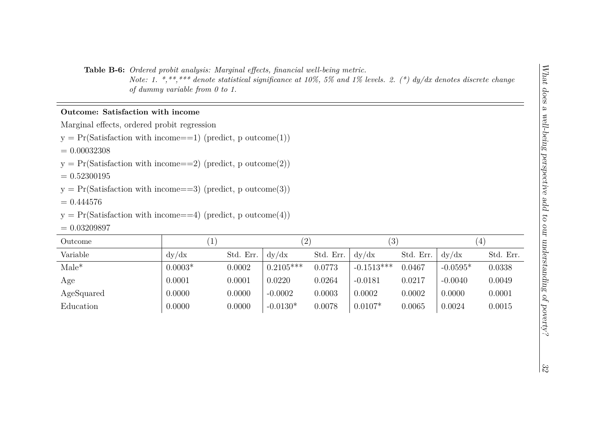**Table B-6:** *Ordered probit analysis: Marginal effects, financial well-being metric.*

*Note: 1. \*,\*\*,\*\*\* denote statistical significance at 10%, 5% and 1% levels. 2. (\*) dy/dx denotes discrete change of dummy variable from 0 to 1.*

#### **Outcome: Satisfaction with income**

Marginal effects, ordered probit regression

 $y = Pr(Satis factor with income==1) (predict, p outcome(1))$ 

 $= 0.00032308$ 

 $y = Pr(Satisfactor with income==2) (predict, p outcome(2))$ 

 $= 0.52300195$ 

 $y = Pr(Satis factor with income == 3) (predict, p outcome(3))$ 

 $= 0.444576$ 

 $y = Pr(Satis factor with income==4) (predict, p outcome(4))$ 

 $= 0.03209897$ 

| Outcome    |           |           | (2)         |           | $\left(3\right)$ |           | 4          |           |
|------------|-----------|-----------|-------------|-----------|------------------|-----------|------------|-----------|
| Variable   | dy/dx     | Std. Err. | dy/dx       | Std. Err. | dy/dx            | Std. Err. | dv/dx      | Std. Err. |
| $Male^*$   | $0.0003*$ | 0.0002    | $0.2105***$ | 0.0773    | $-0.1513***$     | 0.0467    | $-0.0595*$ | 0.0338    |
| Age        | 0.0001    | 0.0001    | 0.0220      | 0.0264    | $-0.0181$        | 0.0217    | $-0.0040$  | 0.0049    |
| AgeSquared | 0.0000    | 0.0000    | $-0.0002$   | 0.0003    | 0.0002           | 0.0002    | 0.0000     | 0.0001    |
| Education  | 0.0000    | 0.0000    | $-0.0130*$  | 0.0078    | $0.0107*$        | 0.0065    | 0.0024     | 0.0015    |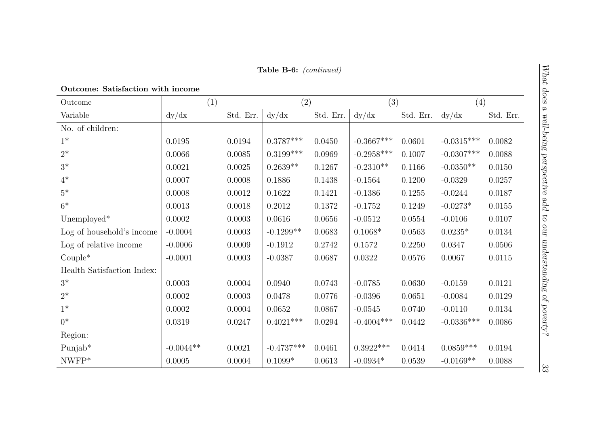| Outcome                    | (1)         |           | (2)          |           | (3)          |           | (4)          |           |
|----------------------------|-------------|-----------|--------------|-----------|--------------|-----------|--------------|-----------|
| Variable                   | dy/dx       | Std. Err. | dy/dx        | Std. Err. | dy/dx        | Std. Err. | dy/dx        | Std. Err. |
| No. of children:           |             |           |              |           |              |           |              |           |
| $1*$                       | 0.0195      | 0.0194    | $0.3787***$  | 0.0450    | $-0.3667***$ | 0.0601    | $-0.0315***$ | 0.0082    |
| $2^*$                      | 0.0066      | 0.0085    | $0.3199***$  | 0.0969    | $-0.2958***$ | 0.1007    | $-0.0307***$ | 0.0088    |
| $3^*$                      | 0.0021      | 0.0025    | $0.2639**$   | 0.1267    | $-0.2310**$  | 0.1166    | $-0.0350**$  | 0.0150    |
| $4*$                       | 0.0007      | 0.0008    | 0.1886       | 0.1438    | $-0.1564$    | 0.1200    | $-0.0329$    | 0.0257    |
| $5*$                       | 0.0008      | 0.0012    | 0.1622       | 0.1421    | $-0.1386$    | 0.1255    | $-0.0244$    | 0.0187    |
| $6*$                       | 0.0013      | 0.0018    | 0.2012       | 0.1372    | $-0.1752$    | 0.1249    | $-0.0273*$   | 0.0155    |
| Unemployed*                | 0.0002      | 0.0003    | 0.0616       | 0.0656    | $-0.0512$    | 0.0554    | $-0.0106$    | 0.0107    |
| Log of household's income  | $-0.0004$   | 0.0003    | $-0.1299**$  | 0.0683    | $0.1068*$    | 0.0563    | $0.0235*$    | 0.0134    |
| Log of relative income     | $-0.0006$   | 0.0009    | $-0.1912$    | 0.2742    | 0.1572       | 0.2250    | 0.0347       | 0.0506    |
| $Couple^*$                 | $-0.0001$   | 0.0003    | $-0.0387$    | 0.0687    | 0.0322       | 0.0576    | 0.0067       | 0.0115    |
| Health Satisfaction Index: |             |           |              |           |              |           |              |           |
| $3^*$                      | 0.0003      | 0.0004    | 0.0940       | 0.0743    | $-0.0785$    | 0.0630    | $-0.0159$    | 0.0121    |
| $2*$                       | 0.0002      | 0.0003    | 0.0478       | 0.0776    | $-0.0396$    | 0.0651    | $-0.0084$    | 0.0129    |
| $1*$                       | 0.0002      | 0.0004    | 0.0652       | 0.0867    | $-0.0545$    | 0.0740    | $-0.0110$    | 0.0134    |
| $0^*$                      | 0.0319      | 0.0247    | $0.4021***$  | 0.0294    | $-0.4004***$ | 0.0442    | $-0.0336***$ | 0.0086    |
| Region:                    |             |           |              |           |              |           |              |           |
| $Punjab*$                  | $-0.0044**$ | 0.0021    | $-0.4737***$ | 0.0461    | $0.3922***$  | 0.0414    | $0.0859***$  | 0.0194    |
| $NWFP*$                    | 0.0005      | 0.0004    | $0.1099*$    | 0.0613    | $-0.0934*$   | 0.0539    | $-0.0169**$  | 0.0088    |

 $\frac{33}{3}$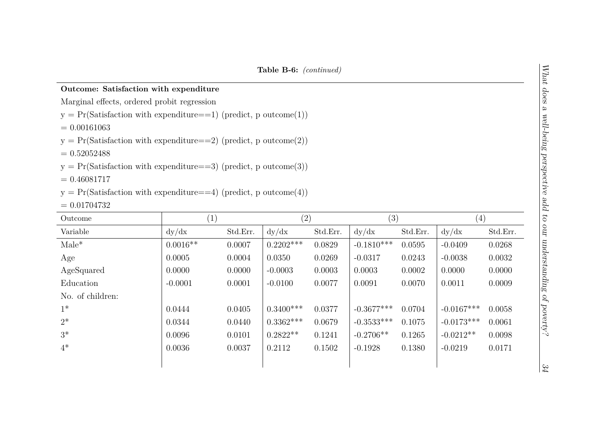#### **Outcome: Satisfaction with expenditure**

Marginal effects, ordered probit regression

 $y = Pr(Satisfactor with expenditure==1) (predict, p outcome(1))$ 

 $= 0.00161063$ 

 $y = Pr(Satisfactor with expenditure==2) (predict, p outcome(2))$ 

 $= 0.52052488$ 

 $y = Pr(Satis factor with expenditure==3) (predict, p outcome(3))$ 

 $= 0.46081717$ 

 $y = Pr(Satis factor with expenditure==4) (predict, p outcome(4))$ 

 $= 0.01704732$ 

| Outcome          | (1)        |          | (2)         |          | (3)          |          | $\left( 4\right)$ |          |
|------------------|------------|----------|-------------|----------|--------------|----------|-------------------|----------|
| Variable         | dy/dx      | Std.Err. | dy/dx       | Std.Err. | dy/dx        | Std.Err. | dy/dx             | Std.Err. |
| $Male^*$         | $0.0016**$ | 0.0007   | $0.2202***$ | 0.0829   | $-0.1810***$ | 0.0595   | $-0.0409$         | 0.0268   |
| Age              | 0.0005     | 0.0004   | 0.0350      | 0.0269   | $-0.0317$    | 0.0243   | $-0.0038$         | 0.0032   |
| AgeSquared       | 0.0000     | 0.0000   | $-0.0003$   | 0.0003   | 0.0003       | 0.0002   | 0.0000            | 0.0000   |
| Education        | $-0.0001$  | 0.0001   | $-0.0100$   | 0.0077   | 0.0091       | 0.0070   | 0.0011            | 0.0009   |
| No. of children: |            |          |             |          |              |          |                   |          |
| $1^*$            | 0.0444     | 0.0405   | $0.3400***$ | 0.0377   | $-0.3677***$ | 0.0704   | $-0.0167***$      | 0.0058   |
| $2^*$            | 0.0344     | 0.0440   | $0.3362***$ | 0.0679   | $-0.3533***$ | 0.1075   | $-0.0173***$      | 0.0061   |
| $3^*$            | 0.0096     | 0.0101   | $0.2822**$  | 0.1241   | $-0.2706**$  | 0.1265   | $-0.0212**$       | 0.0098   |
| $4^*$            | 0.0036     | 0.0037   | 0.2112      | 0.1502   | $-0.1928$    | 0.1380   | $-0.0219$         | 0.0171   |
|                  |            |          |             |          |              |          |                   |          |

 $\frac{34}{4}$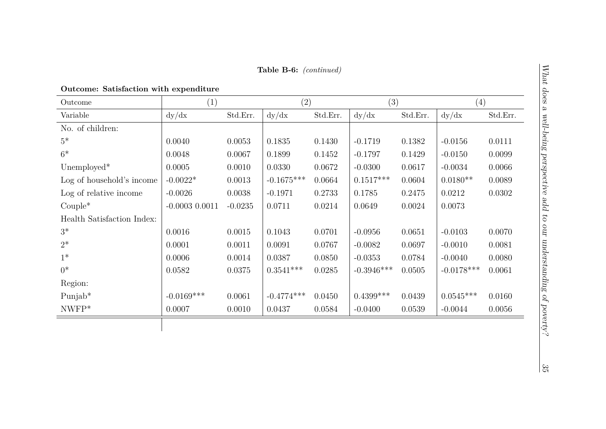### **Outcome: Satisfaction with expenditure**

| Outcome                    | (1)                |           | (2)          |          | (3)          |          | (4)          |          |
|----------------------------|--------------------|-----------|--------------|----------|--------------|----------|--------------|----------|
| Variable                   | dy/dx              | Std.Err.  | dy/dx        | Std.Err. | dy/dx        | Std.Err. | dy/dx        | Std.Err. |
| No. of children:           |                    |           |              |          |              |          |              |          |
| $5*$                       | 0.0040             | 0.0053    | 0.1835       | 0.1430   | $-0.1719$    | 0.1382   | $-0.0156$    | 0.0111   |
| $6*$                       | 0.0048             | 0.0067    | 0.1899       | 0.1452   | $-0.1797$    | 0.1429   | $-0.0150$    | 0.0099   |
| Unemployed*                | 0.0005             | 0.0010    | 0.0330       | 0.0672   | $-0.0300$    | 0.0617   | $-0.0034$    | 0.0066   |
| Log of household's income  | $-0.0022*$         | 0.0013    | $-0.1675***$ | 0.0664   | $0.1517***$  | 0.0604   | $0.0180**$   | 0.0089   |
| Log of relative income     | $-0.0026$          | 0.0038    | $-0.1971$    | 0.2733   | 0.1785       | 0.2475   | 0.0212       | 0.0302   |
| $Couple^*$                 | $-0.0003$ $0.0011$ | $-0.0235$ | 0.0711       | 0.0214   | 0.0649       | 0.0024   | 0.0073       |          |
| Health Satisfaction Index: |                    |           |              |          |              |          |              |          |
| $3^*$                      | 0.0016             | 0.0015    | 0.1043       | 0.0701   | $-0.0956$    | 0.0651   | $-0.0103$    | 0.0070   |
| $2^*$                      | 0.0001             | 0.0011    | 0.0091       | 0.0767   | $-0.0082$    | 0.0697   | $-0.0010$    | 0.0081   |
| $1*$                       | 0.0006             | 0.0014    | 0.0387       | 0.0850   | $-0.0353$    | 0.0784   | $-0.0040$    | 0.0080   |
| $0^*$                      | 0.0582             | 0.0375    | $0.3541***$  | 0.0285   | $-0.3946***$ | 0.0505   | $-0.0178***$ | 0.0061   |
| Region:                    |                    |           |              |          |              |          |              |          |
| Punjab*                    | $-0.0169***$       | 0.0061    | $-0.4774***$ | 0.0450   | $0.4399***$  | 0.0439   | $0.0545***$  | 0.0160   |
| $NWFP*$                    | 0.0007             | 0.0010    | 0.0437       | 0.0584   | $-0.0400$    | 0.0539   | $-0.0044$    | 0.0056   |
|                            |                    |           |              |          |              |          |              |          |

 $\frac{35}{2}$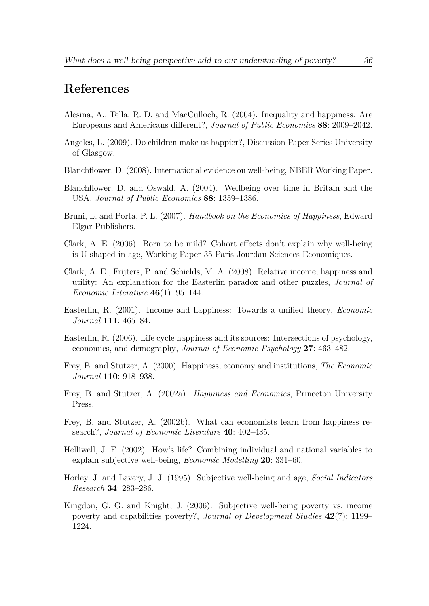## **References**

- Alesina, A., Tella, R. D. and MacCulloch, R. (2004). Inequality and happiness: Are Europeans and Americans different?, *Journal of Public Economics* **88**: 2009–2042.
- Angeles, L. (2009). Do children make us happier?, Discussion Paper Series University of Glasgow.
- Blanchflower, D. (2008). International evidence on well-being, NBER Working Paper.
- Blanchflower, D. and Oswald, A. (2004). Wellbeing over time in Britain and the USA, *Journal of Public Economics* **88**: 1359–1386.
- Bruni, L. and Porta, P. L. (2007). *Handbook on the Economics of Happiness*, Edward Elgar Publishers.
- Clark, A. E. (2006). Born to be mild? Cohort effects don't explain why well-being is U-shaped in age, Working Paper 35 Paris-Jourdan Sciences Economiques.
- Clark, A. E., Frijters, P. and Schields, M. A. (2008). Relative income, happiness and utility: An explanation for the Easterlin paradox and other puzzles, *Journal of Economic Literature* **46**(1): 95–144.
- Easterlin, R. (2001). Income and happiness: Towards a unified theory, *Economic Journal* **111**: 465–84.
- Easterlin, R. (2006). Life cycle happiness and its sources: Intersections of psychology, economics, and demography, *Journal of Economic Psychology* **27**: 463–482.
- Frey, B. and Stutzer, A. (2000). Happiness, economy and institutions, *The Economic Journal* **110**: 918–938.
- Frey, B. and Stutzer, A. (2002a). *Happiness and Economics*, Princeton University Press.
- Frey, B. and Stutzer, A. (2002b). What can economists learn from happiness research?, *Journal of Economic Literature* **40**: 402–435.
- Helliwell, J. F. (2002). How's life? Combining individual and national variables to explain subjective well-being, *Economic Modelling* **20**: 331–60.
- Horley, J. and Lavery, J. J. (1995). Subjective well-being and age, *Social Indicators Research* **34**: 283–286.
- Kingdon, G. G. and Knight, J. (2006). Subjective well-being poverty vs. income poverty and capabilities poverty?, *Journal of Development Studies* **42**(7): 1199– 1224.